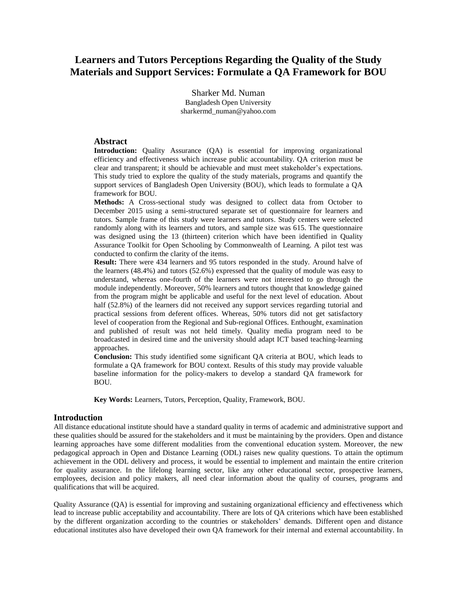# **Learners and Tutors Perceptions Regarding the Quality of the Study Materials and Support Services: Formulate a QA Framework for BOU**

Sharker Md. Numan Bangladesh Open University sharkermd\_numan@yahoo.com

#### **Abstract**

**Introduction:** Quality Assurance (QA) is essential for improving organizational efficiency and effectiveness which increase public accountability. QA criterion must be clear and transparent; it should be achievable and must meet stakeholder's expectations. This study tried to explore the quality of the study materials, programs and quantify the support services of Bangladesh Open University (BOU), which leads to formulate a QA framework for BOU.

**Methods:** A Cross-sectional study was designed to collect data from October to December 2015 using a semi-structured separate set of questionnaire for learners and tutors. Sample frame of this study were learners and tutors. Study centers were selected randomly along with its learners and tutors, and sample size was 615. The questionnaire was designed using the 13 (thirteen) criterion which have been identified in Quality Assurance Toolkit for Open Schooling by Commonwealth of Learning. A pilot test was conducted to confirm the clarity of the items.

**Result:** There were 434 learners and 95 tutors responded in the study. Around halve of the learners (48.4%) and tutors (52.6%) expressed that the quality of module was easy to understand, whereas one-fourth of the learners were not interested to go through the module independently. Moreover, 50% learners and tutors thought that knowledge gained from the program might be applicable and useful for the next level of education. About half (52.8%) of the learners did not received any support services regarding tutorial and practical sessions from deferent offices. Whereas, 50% tutors did not get satisfactory level of cooperation from the Regional and Sub-regional Offices. Enthought, examination and published of result was not held timely. Quality media program need to be broadcasted in desired time and the university should adapt ICT based teaching-learning approaches.

**Conclusion:** This study identified some significant QA criteria at BOU, which leads to formulate a QA framework for BOU context. Results of this study may provide valuable baseline information for the policy-makers to develop a standard QA framework for BOU.

**Key Words:** Learners, Tutors, Perception, Quality, Framework, BOU.

#### **Introduction**

All distance educational institute should have a standard quality in terms of academic and administrative support and these qualities should be assured for the stakeholders and it must be maintaining by the providers. Open and distance learning approaches have some different modalities from the conventional education system. Moreover, the new pedagogical approach in Open and Distance Learning (ODL) raises new quality questions. To attain the optimum achievement in the ODL delivery and process, it would be essential to implement and maintain the entire criterion for quality assurance. In the lifelong learning sector, like any other educational sector, prospective learners, employees, decision and policy makers, all need clear information about the quality of courses, programs and qualifications that will be acquired.

Quality Assurance (QA) is essential for improving and sustaining organizational efficiency and effectiveness which lead to increase public acceptability and accountability. There are lots of QA criterions which have been established by the different organization according to the countries or stakeholders' demands. Different open and distance educational institutes also have developed their own QA framework for their internal and external accountability. In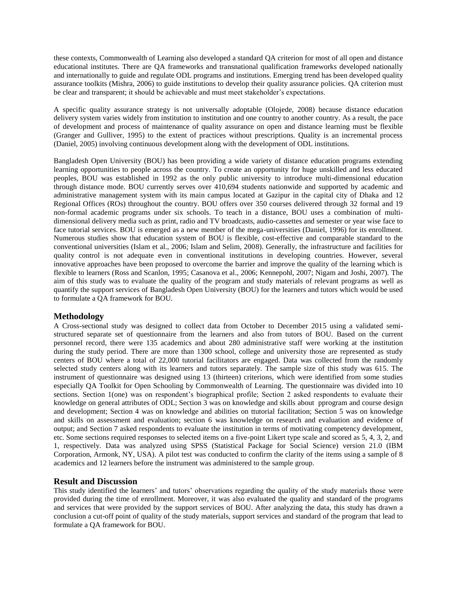these contexts, Commonwealth of Learning also developed a standard QA criterion for most of all open and distance educational institutes. There are QA frameworks and transnational qualification frameworks developed nationally and internationally to guide and regulate ODL programs and institutions. Emerging trend has been developed quality assurance toolkits (Mishra, 2006) to guide institutions to develop their quality assurance policies. QA criterion must be clear and transparent; it should be achievable and must meet stakeholder's expectations.

A specific quality assurance strategy is not universally adoptable (Olojede, 2008) because distance education delivery system varies widely from institution to institution and one country to another country. As a result, the pace of development and process of maintenance of quality assurance on open and distance learning must be flexible (Granger and Gulliver, 1995) to the extent of practices without prescriptions. Quality is an incremental process (Daniel, 2005) involving continuous development along with the development of ODL institutions.

Bangladesh Open University (BOU) has been providing a wide variety of distance education programs extending learning opportunities to people across the country. To create an opportunity for huge unskilled and less educated peoples, BOU was established in 1992 as the only public university to introduce multi-dimensional education through distance mode. BOU currently serves over 410,694 students nationwide and supported by academic and administrative management system with its main campus located at Gazipur in the capital city of Dhaka and 12 Regional Offices (ROs) throughout the country. BOU offers over 350 courses delivered through 32 formal and 19 non-formal academic programs under six schools. To teach in a distance, BOU uses a combination of multidimensional delivery media such as print, radio and TV broadcasts, audio-cassettes and semester or year wise face to face tutorial services. BOU is emerged as a new member of the mega-universities (Daniel, 1996) for its enrollment. Numerous studies show that education system of BOU is flexible, cost-effective and comparable standard to the conventional universities (Islam et al., 2006; Islam and Selim, 2008). Generally, the infrastructure and facilities for quality control is not adequate even in conventional institutions in developing countries. However, several innovative approaches have been proposed to overcome the barrier and improve the quality of the learning which is flexible to learners (Ross and Scanlon, 1995; Casanova et al., 2006; Kennepohl, 2007; Nigam and Joshi, 2007). The aim of this study was to evaluate the quality of the program and study materials of relevant programs as well as quantify the support services of Bangladesh Open University (BOU) for the learners and tutors which would be used to formulate a QA framework for BOU.

### **Methodology**

A Cross-sectional study was designed to collect data from October to December 2015 using a validated semistructured separate set of questionnaire from the learners and also from tutors of BOU. Based on the current personnel record, there were 135 academics and about 280 administrative staff were working at the institution during the study period. There are more than 1300 school, college and university those are represented as study centers of BOU where a total of 22,000 tutorial facilitators are engaged. Data was collected from the randomly selected study centers along with its learners and tutors separately. The sample size of this study was 615. The instrument of questionnaire was designed using 13 (thirteen) criterions, which were identified from some studies especially QA Toolkit for Open Schooling by Commonwealth of Learning. The questionnaire was divided into 10 sections. Section 1(one) was on respondent's biographical profile; Section 2 asked respondents to evaluate their knowledge on general attributes of ODL; Section 3 was on knowledge and skills about pprogram and course design and development; Section 4 was on knowledge and abilities on ttutorial facilitation; Section 5 was on knowledge and skills on assessment and evaluation; section 6 was knowledge on research and evaluation and evidence of output; and Section 7 asked respondents to evaluate the institution in terms of motivating competency development, etc. Some sections required responses to selected items on a five-point Likert type scale and scored as 5, 4, 3, 2, and 1, respectively. Data was analyzed using SPSS (Statistical Package for Social Science) version 21.0 (IBM Corporation, Armonk, NY, USA). A pilot test was conducted to confirm the clarity of the items using a sample of 8 academics and 12 learners before the instrument was administered to the sample group.

## **Result and Discussion**

This study identified the learners' and tutors' observations regarding the quality of the study materials those were provided during the time of enrollment. Moreover, it was also evaluated the quality and standard of the programs and services that were provided by the support services of BOU. After analyzing the data, this study has drawn a conclusion a cut-off point of quality of the study materials, support services and standard of the program that lead to formulate a QA framework for BOU.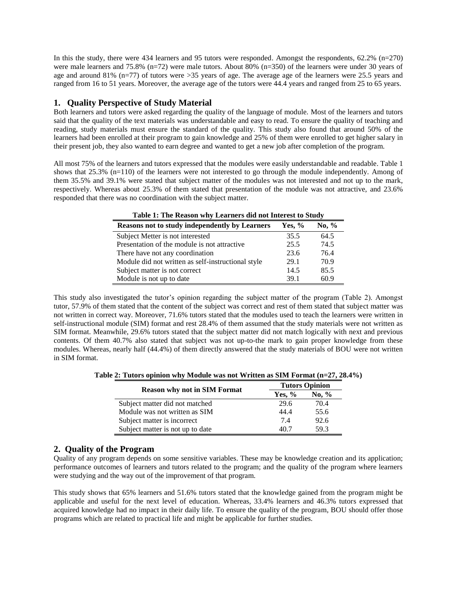In this the study, there were 434 learners and 95 tutors were responded. Amongst the respondents, 62.2% (n=270) were male learners and 75.8% (n=72) were male tutors. About 80% (n=350) of the learners were under 30 years of age and around 81% (n=77) of tutors were >35 years of age. The average age of the learners were 25.5 years and ranged from 16 to 51 years. Moreover, the average age of the tutors were 44.4 years and ranged from 25 to 65 years.

## **1. Quality Perspective of Study Material**

Both learners and tutors were asked regarding the quality of the language of module. Most of the learners and tutors said that the quality of the text materials was understandable and easy to read. To ensure the quality of teaching and reading, study materials must ensure the standard of the quality. This study also found that around 50% of the learners had been enrolled at their program to gain knowledge and 25% of them were enrolled to get higher salary in their present job, they also wanted to earn degree and wanted to get a new job after completion of the program.

All most 75% of the learners and tutors expressed that the modules were easily understandable and readable. Table 1 shows that 25.3% (n=110) of the learners were not interested to go through the module independently. Among of them 35.5% and 39.1% were stated that subject matter of the modules was not interested and not up to the mark, respectively. Whereas about 25.3% of them stated that presentation of the module was not attractive, and 23.6% responded that there was no coordination with the subject matter.

| <b>Table 1. The Keasult why Learners and not finerest to Study</b> |        |         |  |
|--------------------------------------------------------------------|--------|---------|--|
| Reasons not to study independently by Learners                     | Yes, % | No. $%$ |  |
| Subject Metter is not interested                                   | 35.5   | 64.5    |  |
| Presentation of the module is not attractive                       | 25.5   | 74.5    |  |
| There have not any coordination                                    | 23.6   | 76.4    |  |
| Module did not written as self-instructional style                 | 29.1   | 70.9    |  |
| Subject matter is not correct                                      | 14.5   | 85.5    |  |
| Module is not up to date                                           | 39.1   | 60.9    |  |

**Table 1: The Reason why Learners did not Interest to Study**

This study also investigated the tutor's opinion regarding the subject matter of the program (Table 2). Amongst tutor, 57.9% of them stated that the content of the subject was correct and rest of them stated that subject matter was not written in correct way. Moreover, 71.6% tutors stated that the modules used to teach the learners were written in self-instructional module (SIM) format and rest 28.4% of them assumed that the study materials were not written as SIM format. Meanwhile, 29.6% tutors stated that the subject matter did not match logically with next and previous contents. Of them 40.7% also stated that subject was not up-to-the mark to gain proper knowledge from these modules. Whereas, nearly half (44.4%) of them directly answered that the study materials of BOU were not written in SIM format.

**Table 2: Tutors opinion why Module was not Written as SIM Format (n=27, 28.4%)**

|                                     | <b>Tutors Opinion</b> |         |  |
|-------------------------------------|-----------------------|---------|--|
| <b>Reason why not in SIM Format</b> | Yes, $%$              | No. $%$ |  |
| Subject matter did not matched      | 29.6                  | 70.4    |  |
| Module was not written as SIM       | 44.4                  | 55.6    |  |
| Subject matter is incorrect         | 7.4                   | 92.6    |  |
| Subject matter is not up to date    | 40.7                  | 59.3    |  |

## **2. Quality of the Program**

Quality of any program depends on some sensitive variables. These may be knowledge creation and its application; performance outcomes of learners and tutors related to the program; and the quality of the program where learners were studying and the way out of the improvement of that program.

This study shows that 65% learners and 51.6% tutors stated that the knowledge gained from the program might be applicable and useful for the next level of education. Whereas, 33.4% learners and 46.3% tutors expressed that acquired knowledge had no impact in their daily life. To ensure the quality of the program, BOU should offer those programs which are related to practical life and might be applicable for further studies.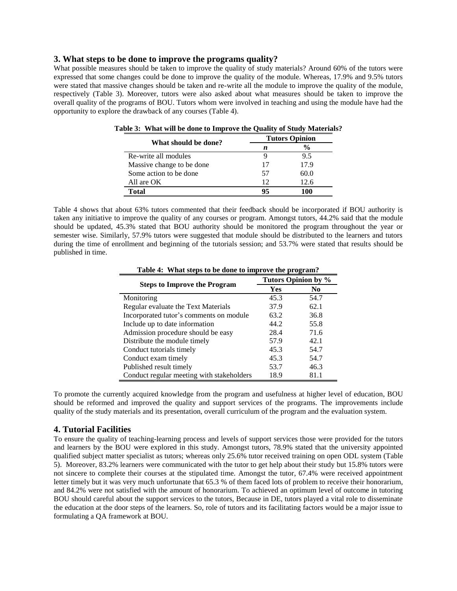#### **3. What steps to be done to improve the programs quality?**

What possible measures should be taken to improve the quality of study materials? Around 60% of the tutors were expressed that some changes could be done to improve the quality of the module. Whereas, 17.9% and 9.5% tutors were stated that massive changes should be taken and re-write all the module to improve the quality of the module, respectively (Table 3). Moreover, tutors were also asked about what measures should be taken to improve the overall quality of the programs of BOU. Tutors whom were involved in teaching and using the module have had the opportunity to explore the drawback of any courses (Table 4).

| What should be done?      | <b>Tutors Opinion</b> |      |  |
|---------------------------|-----------------------|------|--|
|                           | n                     |      |  |
| Re-write all modules      | Ч                     | 9.5  |  |
| Massive change to be done | 17                    | 17.9 |  |
| Some action to be done    | 57                    | 60.0 |  |
| All are OK                | 12                    | 12.6 |  |
| Total                     | 95                    | 100  |  |

**Table 3: What will be done to Improve the Quality of Study Materials?**

Table 4 shows that about 63% tutors commented that their feedback should be incorporated if BOU authority is taken any initiative to improve the quality of any courses or program. Amongst tutors, 44.2% said that the module should be updated, 45.3% stated that BOU authority should be monitored the program throughout the year or semester wise. Similarly, 57.9% tutors were suggested that module should be distributed to the learners and tutors during the time of enrollment and beginning of the tutorials session; and 53.7% were stated that results should be published in time.

| <b>Steps to Improve the Program</b>       | Tutors Opinion by % |      |  |
|-------------------------------------------|---------------------|------|--|
|                                           | Yes                 | No.  |  |
| Monitoring                                | 45.3                | 54.7 |  |
| Regular evaluate the Text Materials       | 37.9                | 62.1 |  |
| Incorporated tutor's comments on module   | 63.2                | 36.8 |  |
| Include up to date information            | 44.2                | 55.8 |  |
| Admission procedure should be easy        | 28.4                | 71.6 |  |
| Distribute the module timely              | 57.9                | 42.1 |  |
| Conduct tutorials timely                  | 45.3                | 54.7 |  |
| Conduct exam timely                       | 45.3                | 54.7 |  |
| Published result timely                   | 53.7                | 46.3 |  |
| Conduct regular meeting with stakeholders | 18.9                | 81.1 |  |

**Table 4: What steps to be done to improve the program?**

To promote the currently acquired knowledge from the program and usefulness at higher level of education, BOU should be reformed and improved the quality and support services of the programs. The improvements include quality of the study materials and its presentation, overall curriculum of the program and the evaluation system.

#### **4. Tutorial Facilities**

To ensure the quality of teaching-learning process and levels of support services those were provided for the tutors and learners by the BOU were explored in this study. Amongst tutors, 78.9% stated that the university appointed qualified subject matter specialist as tutors; whereas only 25.6% tutor received training on open ODL system (Table 5). Moreover, 83.2% learners were communicated with the tutor to get help about their study but 15.8% tutors were not sincere to complete their courses at the stipulated time. Amongst the tutor, 67.4% were received appointment letter timely but it was very much unfortunate that 65.3 % of them faced lots of problem to receive their honorarium, and 84.2% were not satisfied with the amount of honorarium. To achieved an optimum level of outcome in tutoring BOU should careful about the support services to the tutors, Because in DE, tutors played a vital role to disseminate the education at the door steps of the learners. So, role of tutors and its facilitating factors would be a major issue to formulating a QA framework at BOU.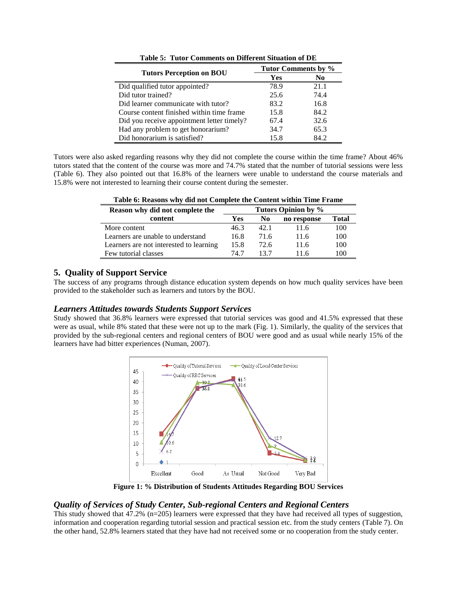|                                            | Tutor Comments by % |      |  |
|--------------------------------------------|---------------------|------|--|
| <b>Tutors Perception on BOU</b>            | Yes                 | No.  |  |
| Did qualified tutor appointed?             | 78.9                | 21.1 |  |
| Did tutor trained?                         | 25.6                | 74.4 |  |
| Did learner communicate with tutor?        | 83.2                | 16.8 |  |
| Course content finished within time frame  | 15.8                | 84.2 |  |
| Did you receive appointment letter timely? | 67.4                | 32.6 |  |
| Had any problem to get honorarium?         | 34.7                | 65.3 |  |
| Did honorarium is satisfied?               | 15.8                | 84.2 |  |

**Table 5: Tutor Comments on Different Situation of DE**

Tutors were also asked regarding reasons why they did not complete the course within the time frame? About 46% tutors stated that the content of the course was more and 74.7% stated that the number of tutorial sessions were less (Table 6). They also pointed out that 16.8% of the learners were unable to understand the course materials and 15.8% were not interested to learning their course content during the semester.

| Tuble of Irelabello will also to complete the Content within Thine I fully |                     |      |             |       |
|----------------------------------------------------------------------------|---------------------|------|-------------|-------|
| Reason why did not complete the                                            | Tutors Opinion by % |      |             |       |
| content                                                                    | Yes                 | No   | no response | Total |
| More content                                                               | 46.3                | 42.1 | 11.6        | 100   |
| Learners are unable to understand                                          | 16.8                | 71.6 | 11.6        | 100   |
| Learners are not interested to learning                                    | 15.8                | 72.6 | 11.6        | 100   |
| Few tutorial classes                                                       | 74 7                | 137  | 11 6        | 100   |

**Table 6: Reasons why did not Complete the Content within Time Frame**

## **5. Quality of Support Service**

The success of any programs through distance education system depends on how much quality services have been provided to the stakeholder such as learners and tutors by the BOU.

### *Learners Attitudes towards Students Support Services*

Study showed that 36.8% learners were expressed that tutorial services was good and 41.5% expressed that these were as usual, while 8% stated that these were not up to the mark (Fig. 1). Similarly, the quality of the services that provided by the sub-regional centers and regional centers of BOU were good and as usual while nearly 15% of the learners have had bitter experiences (Numan, 2007).



**Figure 1: % Distribution of Students Attitudes Regarding BOU Services**

## *Quality of Services of Study Center, Sub-regional Centers and Regional Centers*

This study showed that 47.2% (n=205) learners were expressed that they have had received all types of suggestion, information and cooperation regarding tutorial session and practical session etc. from the study centers (Table 7). On the other hand, 52.8% learners stated that they have had not received some or no cooperation from the study center.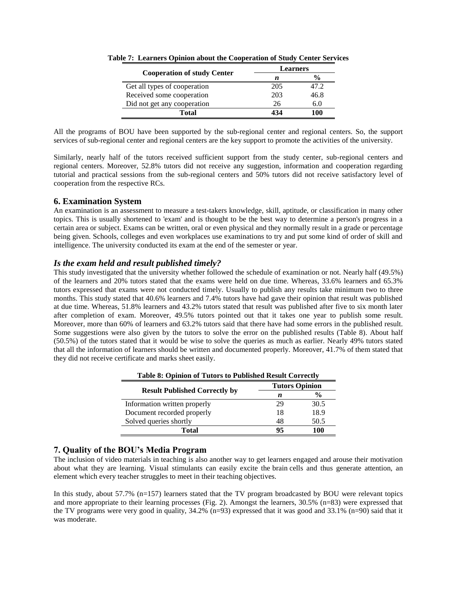| <b>Cooperation of study Center</b> | Learners |               |  |
|------------------------------------|----------|---------------|--|
|                                    | n        | $\frac{0}{0}$ |  |
| Get all types of cooperation       | 205      | 47.2          |  |
| Received some cooperation          | 203      | 46.8          |  |
| Did not get any cooperation        | 26       | 6.0           |  |
| Total                              | 434      | 100           |  |

**Table 7: Learners Opinion about the Cooperation of Study Center Services** 

All the programs of BOU have been supported by the sub-regional center and regional centers. So, the support services of sub-regional center and regional centers are the key support to promote the activities of the university.

Similarly, nearly half of the tutors received sufficient support from the study center, sub-regional centers and regional centers. Moreover, 52.8% tutors did not receive any suggestion, information and cooperation regarding tutorial and practical sessions from the sub-regional centers and 50% tutors did not receive satisfactory level of cooperation from the respective RCs.

## **6. Examination System**

An examination is an [assessment](http://en.wikipedia.org/wiki/Educational_assessment) to measure a test-takers [knowledge,](http://en.wikipedia.org/wiki/Knowledge) [skill,](http://en.wikipedia.org/wiki/Skill) [aptitude,](http://en.wikipedia.org/wiki/Aptitude) or classification in many other topics. This is usually shortened to 'exam' and is thought to be the best way to determine a person's progress in a certain area or subject. Exams can be written, oral or even physical and they normally result in a grade or percentage being given. Schools, colleges and even workplaces use examinations to try and put some kind of order of skill and intelligence. The university conducted its exam at the end of the semester or year.

## *Is the exam held and result published timely?*

This study investigated that the university whether followed the schedule of examination or not. Nearly half (49.5%) of the learners and 20% tutors stated that the exams were held on due time. Whereas, 33.6% learners and 65.3% tutors expressed that exams were not conducted timely. Usually to publish any results take minimum two to three months. This study stated that 40.6% learners and 7.4% tutors have had gave their opinion that result was published at due time. Whereas, 51.8% learners and 43.2% tutors stated that result was published after five to six month later after completion of exam. Moreover, 49.5% tutors pointed out that it takes one year to publish some result. Moreover, more than 60% of learners and 63.2% tutors said that there have had some errors in the published result. Some suggestions were also given by the tutors to solve the error on the published results (Table 8). About half (50.5%) of the tutors stated that it would be wise to solve the queries as much as earlier. Nearly 49% tutors stated that all the information of learners should be written and documented properly. Moreover, 41.7% of them stated that they did not receive certificate and marks sheet easily.

| <b>Table 8: Opinion of Tutors to Published Result Correctly</b> |                       |               |  |
|-----------------------------------------------------------------|-----------------------|---------------|--|
| <b>Result Published Correctly by</b>                            | <b>Tutors Opinion</b> |               |  |
|                                                                 | n                     | $\frac{6}{9}$ |  |
| Information written properly                                    | 29                    | 30.5          |  |
| Document recorded properly                                      | 18                    | 18.9          |  |
| Solved queries shortly                                          | 48                    | 50.5          |  |
| Total                                                           | 95                    | 100           |  |

## **7. Quality of the BOU's Media Program**

The inclusion of video materials in teaching is also another way to get learners engaged and arouse their motivation about what they are learning. Visual stimulants can easily excite the brain cells and thus generate attention, an element which every teacher struggles to meet in their teaching objectives.

In this study, about 57.7% (n=157) learners stated that the TV program broadcasted by BOU were relevant topics and more appropriate to their learning processes (Fig. 2). Amongst the learners, 30.5% (n=83) were expressed that the TV programs were very good in quality, 34.2% (n=93) expressed that it was good and 33.1% (n=90) said that it was moderate.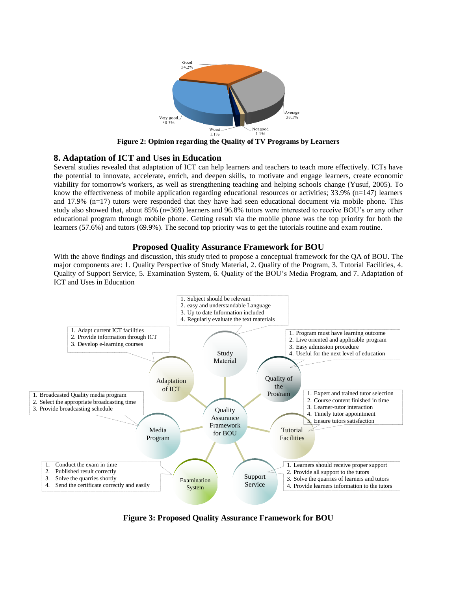

**Figure 2: Opinion regarding the Quality of TV Programs by Learners** 

### **8. Adaptation of ICT and Uses in Education**

Several studies revealed that adaptation of ICT can help learners and teachers to teach more effectively. ICTs have the potential to innovate, accelerate, enrich, and deepen skills, to motivate and engage learners, create economic viability for tomorrow's workers, as well as strengthening teaching and helping schools change (Yusuf, 2005). To know the effectiveness of mobile application regarding educational resources or activities;  $33.9\%$  (n=147) learners and 17.9% (n=17) tutors were responded that they have had seen educational document via mobile phone. This study also showed that, about 85% (n=369) learners and 96.8% tutors were interested to receive BOU's or any other educational program through mobile phone. Getting result via the mobile phone was the top priority for both the learners (57.6%) and tutors (69.9%). The second top priority was to get the tutorials routine and exam routine.

### **Proposed Quality Assurance Framework for BOU**

With the above findings and discussion, this study tried to propose a conceptual framework for the QA of BOU. The major components are: 1. Quality Perspective of Study Material, 2. Quality of the Program, 3. Tutorial Facilities, 4. Quality of Support Service, 5. Examination System, 6. Quality of the BOU's Media Program, and 7. Adaptation of ICT and Uses in Education



**Figure 3: Proposed Quality Assurance Framework for BOU**